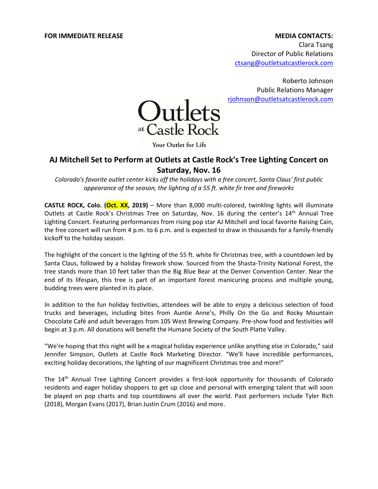# **FOR IMMEDIATE RELEASE MEDIA CONTACTS:**

Clara Tsang Director of Public Relations [ctsang@outletsatcastlerock.com](mailto:ctsang@outletsatcastlerock.com)

Roberto Johnson Public Relations Manager [rjohnson@outletsatcastlerock.com](mailto:rjohnson@outletsatcastlerock.com)



Your Outlet for Life

# **AJ Mitchell Set to Perform at Outlets at Castle Rock's Tree Lighting Concert on Saturday, Nov. 16**

*Colorado's favorite outlet center kicks off the holidays with a free concert, Santa Claus' first public appearance of the season, the lighting of a 55 ft. white fir tree and fireworks*

**CASTLE ROCK, Colo. (Oct. XX, 2019)** – More than 8,000 multi-colored, twinkling lights will illuminate Outlets at Castle Rock's Christmas Tree on Saturday, Nov. 16 during the center's 14<sup>th</sup> Annual Tree Lighting Concert. Featuring performances from rising pop star AJ Mitchell and local favorite Raising Cain, the free concert will run from 4 p.m. to 6 p.m. and is expected to draw in thousands for a family-friendly kickoff to the holiday season.

The highlight of the concert is the lighting of the 55 ft. white fir Christmas tree, with a countdown led by Santa Claus, followed by a holiday firework show. Sourced from the Shasta-Trinity National Forest, the tree stands more than 10 feet taller than the Big Blue Bear at the Denver Convention Center. Near the end of its lifespan, this tree is part of an important forest manicuring process and multiple young, budding trees were planted in its place.

In addition to the fun holiday festivities, attendees will be able to enjoy a delicious selection of food trucks and beverages, including bites from Auntie Anne's, Philly On the Go and Rocky Mountain Chocolate Café and adult beverages from 105 West Brewing Company. Pre-show food and festivities will begin at 3 p.m. All donations will benefit the Humane Society of the South Platte Valley.

"We're hoping that this night will be a magical holiday experience unlike anything else in Colorado," said Jennifer Simpson, Outlets at Castle Rock Marketing Director. "We'll have incredible performances, exciting holiday decorations, the lighting of our magnificent Christmas tree and more!"

The 14<sup>th</sup> Annual Tree Lighting Concert provides a first-look opportunity for thousands of Colorado residents and eager holiday shoppers to get up close and personal with emerging talent that will soon be played on pop charts and top countdowns all over the world. Past performers include Tyler Rich (2018), Morgan Evans (2017), Brian Justin Crum (2016) and more.